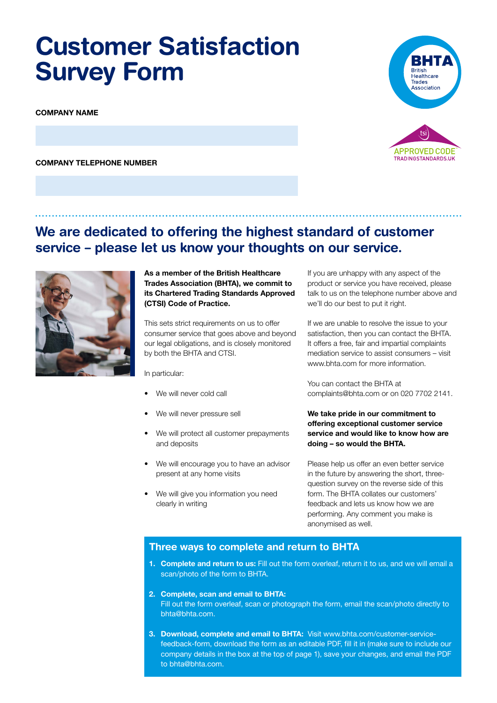# **Customer Satisfaction Survey Form**

**COMPANY NAME**

**COMPANY TELEPHONE NUMBER**





**As a member of the British Healthcare Trades Association (BHTA), we commit to its Chartered Trading Standards Approved (CTSI) Code of Practice.**

This sets strict requirements on us to offer consumer service that goes above and beyond our legal obligations, and is closely monitored by both the BHTA and CTSI.

In particular:

- We will never cold call
- We will never pressure sell
- We will protect all customer prepayments and deposits
- We will encourage you to have an advisor present at any home visits
- We will give you information you need clearly in writing

If you are unhappy with any aspect of the product or service you have received, please talk to us on the telephone number above and we'll do our best to put it right.

If we are unable to resolve the issue to your satisfaction, then you can contact the BHTA. It offers a free, fair and impartial complaints mediation service to assist consumers – visit www.bhta.com for more information.

You can contact the BHTA at complaints@bhta.com or on 020 7702 2141.

#### **We take pride in our commitment to ofering exceptional customer service service and would like to know how are doing – so would the BHTA.**

Please help us offer an even better service in the future by answering the short, threequestion survey on the reverse side of this form. The BHTA collates our customers' feedback and lets us know how we are performing. Any comment you make is anonymised as well.

### **Three ways to complete and return to BHTA**

- **1. Complete and return to us:** Fill out the form overleaf, return it to us, and we will email a scan/photo of the form to BHTA.
- **2. Complete, scan and email to BHTA:** Fill out the form overleaf, scan or photograph the form, email the scan/photo directly to bhta@bhta.com.
- **3. Download, complete and email to BHTA:** Visit www.bhta.com/customer-servicefeedback-form, download the form as an editable PDF, fll it in (make sure to include our company details in the box at the top of page 1), save your changes, and email the PDF to bhta@bhta.com.